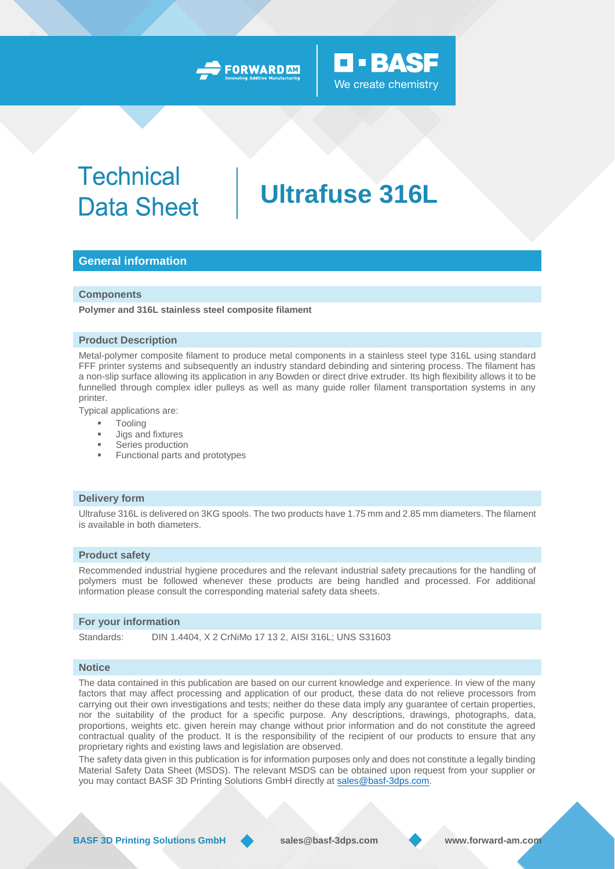### **D-BASF** We create chemistry

## **Technical Data Sheet**

# **Ultrafuse 316L**

#### **General information**

#### **Components**

**Polymer and 316L stainless steel composite filament**

#### **Product Description**

Metal-polymer composite filament to produce metal components in a stainless steel type 316L using standard FFF printer systems and subsequently an industry standard debinding and sintering process. The filament has a non-slip surface allowing its application in any Bowden or direct drive extruder. Its high flexibility allows it to be funnelled through complex idler pulleys as well as many guide roller filament transportation systems in any printer.

Typical applications are:

- **Tooling**
- Jigs and fixtures
- Series production
- **Functional parts and prototypes**

#### **Delivery form**

Ultrafuse 316L is delivered on 3KG spools. The two products have 1.75 mm and 2.85 mm diameters. The filament is available in both diameters.

#### **Product safety**

Recommended industrial hygiene procedures and the relevant industrial safety precautions for the handling of polymers must be followed whenever these products are being handled and processed. For additional information please consult the corresponding material safety data sheets.

#### **For your information**

Standards: DIN 1.4404, X 2 CrNiMo 17 13 2, AISI 316L; UNS S31603

#### **Notice**

The data contained in this publication are based on our current knowledge and experience. In view of the many factors that may affect processing and application of our product, these data do not relieve processors from carrying out their own investigations and tests; neither do these data imply any guarantee of certain properties, nor the suitability of the product for a specific purpose. Any descriptions, drawings, photographs, data, proportions, weights etc. given herein may change without prior information and do not constitute the agreed contractual quality of the product. It is the responsibility of the recipient of our products to ensure that any proprietary rights and existing laws and legislation are observed.

The safety data given in this publication is for information purposes only and does not constitute a legally binding Material Safety Data Sheet (MSDS). The relevant MSDS can be obtained upon request from your supplier or you may contact BASF 3D Printing Solutions GmbH directly at [sales@basf-3dps.com.](mailto:sales@basf-3dps.com)

**BASF 3D Printing Solutions GmbH sales@basf-3dps.com www.forward-am.com**